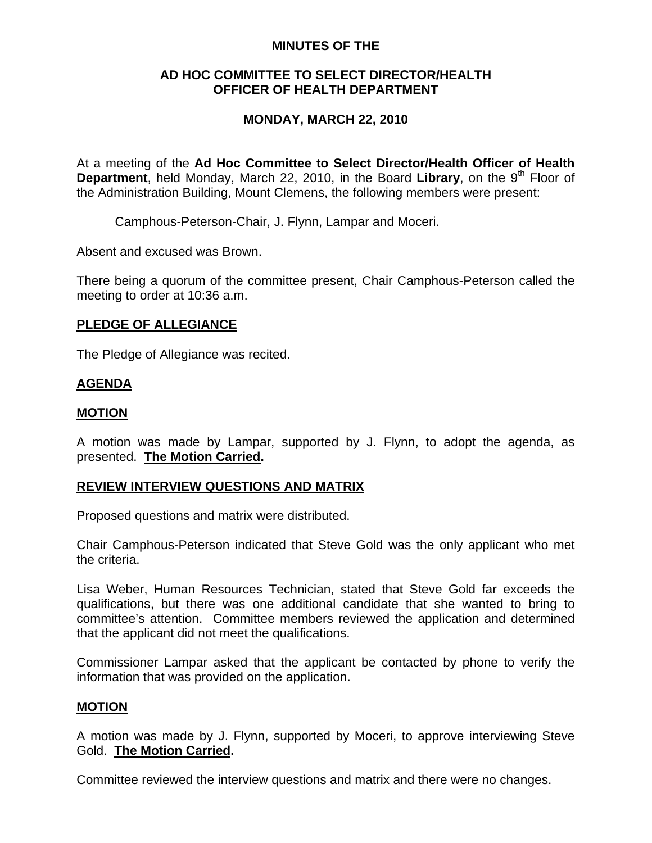### **MINUTES OF THE**

### **AD HOC COMMITTEE TO SELECT DIRECTOR/HEALTH OFFICER OF HEALTH DEPARTMENT**

## **MONDAY, MARCH 22, 2010**

At a meeting of the **Ad Hoc Committee to Select Director/Health Officer of Health Department**, held Monday, March 22, 2010, in the Board Library, on the 9<sup>th</sup> Floor of the Administration Building, Mount Clemens, the following members were present:

Camphous-Peterson-Chair, J. Flynn, Lampar and Moceri.

Absent and excused was Brown.

There being a quorum of the committee present, Chair Camphous-Peterson called the meeting to order at 10:36 a.m.

### **PLEDGE OF ALLEGIANCE**

The Pledge of Allegiance was recited.

### **AGENDA**

### **MOTION**

A motion was made by Lampar, supported by J. Flynn, to adopt the agenda, as presented. **The Motion Carried.** 

#### **REVIEW INTERVIEW QUESTIONS AND MATRIX**

Proposed questions and matrix were distributed.

Chair Camphous-Peterson indicated that Steve Gold was the only applicant who met the criteria.

Lisa Weber, Human Resources Technician, stated that Steve Gold far exceeds the qualifications, but there was one additional candidate that she wanted to bring to committee's attention. Committee members reviewed the application and determined that the applicant did not meet the qualifications.

Commissioner Lampar asked that the applicant be contacted by phone to verify the information that was provided on the application.

#### **MOTION**

A motion was made by J. Flynn, supported by Moceri, to approve interviewing Steve Gold. **The Motion Carried.** 

Committee reviewed the interview questions and matrix and there were no changes.